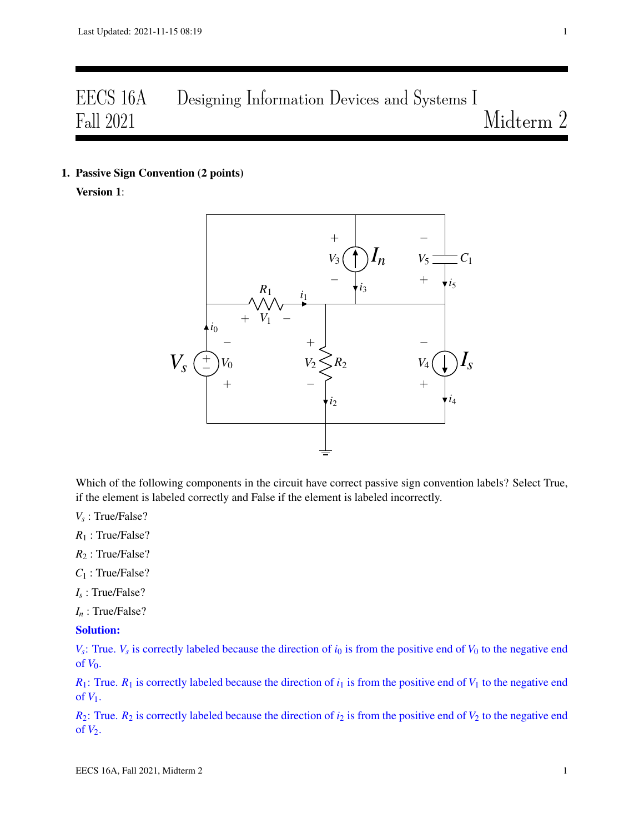# EECS 16A Designing Information Devices and Systems I Fall 2021 Midterm 2

1. Passive Sign Convention (2 points)

Version 1:



Which of the following components in the circuit have correct passive sign convention labels? Select True, if the element is labeled correctly and False if the element is labeled incorrectly.

*Vs* : True/False?

*R*<sup>1</sup> : True/False?

- *R*<sup>2</sup> : True/False?
- *C*<sup>1</sup> : True/False?
- *Is* : True/False?
- *I<sup>n</sup>* : True/False?

## Solution:

 $V_s$ : True.  $V_s$  is correctly labeled because the direction of  $i_0$  is from the positive end of  $V_0$  to the negative end of  $V_0$ .

 $R_1$ : True.  $R_1$  is correctly labeled because the direction of  $i_1$  is from the positive end of  $V_1$  to the negative end of  $V_1$ .

 $R_2$ : True.  $R_2$  is correctly labeled because the direction of  $i_2$  is from the positive end of  $V_2$  to the negative end of  $V_2$ .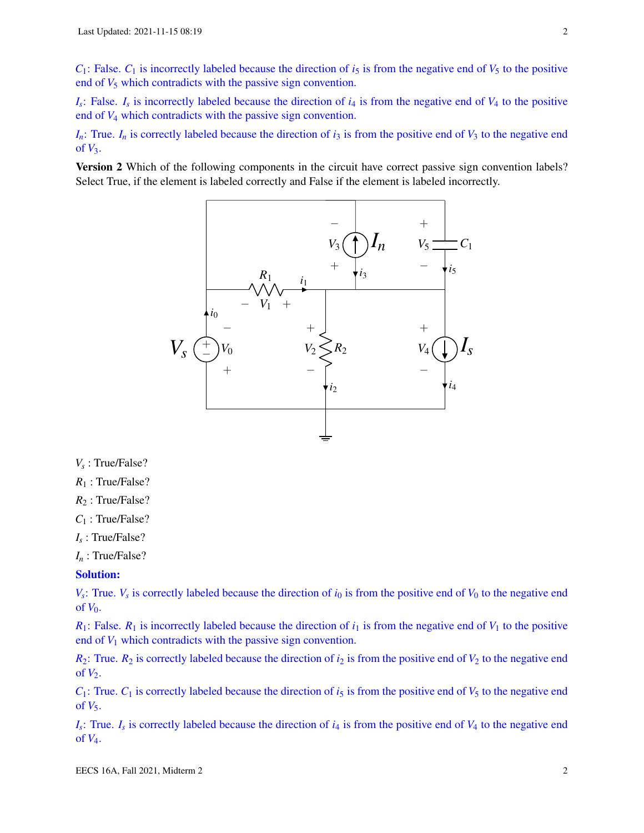$C_1$ : False.  $C_1$  is incorrectly labeled because the direction of  $i_5$  is from the negative end of  $V_5$  to the positive end of  $V_5$  which contradicts with the passive sign convention.

 $I_s$ : False.  $I_s$  is incorrectly labeled because the direction of  $i_4$  is from the negative end of  $V_4$  to the positive end of *V*<sup>4</sup> which contradicts with the passive sign convention.

 $I_n$ : True.  $I_n$  is correctly labeled because the direction of  $i_3$  is from the positive end of  $V_3$  to the negative end of *V*3.

Version 2 Which of the following components in the circuit have correct passive sign convention labels? Select True, if the element is labeled correctly and False if the element is labeled incorrectly.



*Vs* : True/False?

*R*<sup>1</sup> : True/False?

- *R*<sup>2</sup> : True/False?
- *C*<sup>1</sup> : True/False?
- *Is* : True/False?

*I<sup>n</sup>* : True/False?

## Solution:

 $V_s$ : True.  $V_s$  is correctly labeled because the direction of  $i_0$  is from the positive end of  $V_0$  to the negative end of  $V_0$ .

 $R_1$ : False.  $R_1$  is incorrectly labeled because the direction of  $i_1$  is from the negative end of  $V_1$  to the positive end of  $V_1$  which contradicts with the passive sign convention.

 $R_2$ : True.  $R_2$  is correctly labeled because the direction of  $i_2$  is from the positive end of  $V_2$  to the negative end of  $V_2$ .

 $C_1$ : True.  $C_1$  is correctly labeled because the direction of  $i<sub>5</sub>$  is from the positive end of  $V_5$  to the negative end of  $V_5$ .

 $I_s$ : True.  $I_s$  is correctly labeled because the direction of  $i_4$  is from the positive end of  $V_4$  to the negative end of *V*4.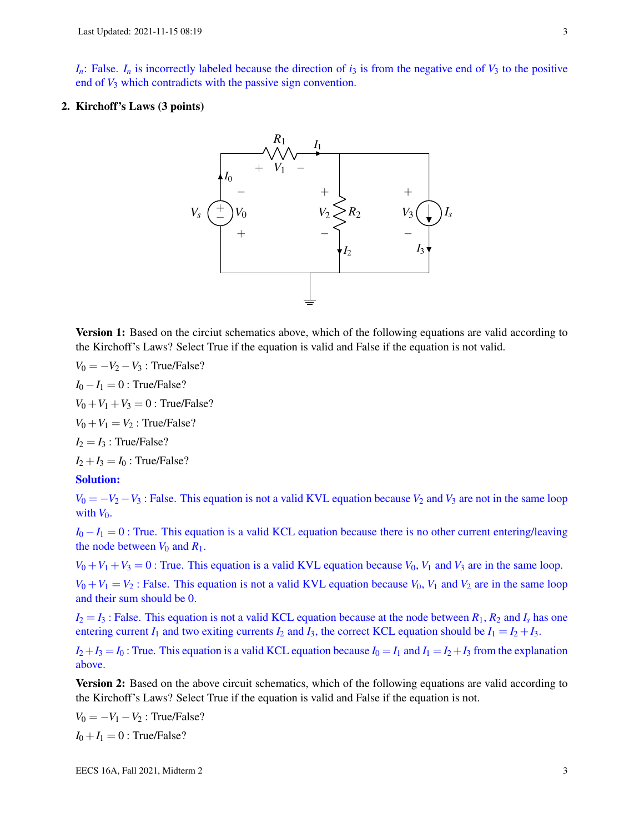$I_n$ : False.  $I_n$  is incorrectly labeled because the direction of  $i_3$  is from the negative end of  $V_3$  to the positive end of  $V_3$  which contradicts with the passive sign convention.

## 2. Kirchoff's Laws (3 points)



**Version 1:** Based on the circiut schematics above, which of the following equations are valid according to the Kirchoff's Laws? Select True if the equation is valid and False if the equation is not valid.

 $V_0 = -V_2 - V_3$ : True/False?  $I_0 - I_1 = 0$ : True/False?  $V_0 + V_1 + V_3 = 0$ : True/False?  $V_0 + V_1 = V_2$ : True/False?

 $I_2 = I_3$ : True/False?

 $I_2 + I_3 = I_0$ : True/False?

## Solution:

 $V_0 = -V_2 - V_3$ : False. This equation is not a valid KVL equation because  $V_2$  and  $V_3$  are not in the same loop with  $V_0$ .

 $I_0 - I_1 = 0$ : True. This equation is a valid KCL equation because there is no other current entering/leaving the node between  $V_0$  and  $R_1$ .

 $V_0 + V_1 + V_3 = 0$ : True. This equation is a valid KVL equation because  $V_0$ ,  $V_1$  and  $V_3$  are in the same loop.

 $V_0 + V_1 = V_2$ : False. This equation is not a valid KVL equation because  $V_0$ ,  $V_1$  and  $V_2$  are in the same loop and their sum should be 0.

 $I_2 = I_3$ : False. This equation is not a valid KCL equation because at the node between  $R_1$ ,  $R_2$  and  $I_s$  has one entering current  $I_1$  and two exiting currents  $I_2$  and  $I_3$ , the correct KCL equation should be  $I_1 = I_2 + I_3$ .

 $I_2 + I_3 = I_0$ : True. This equation is a valid KCL equation because  $I_0 = I_1$  and  $I_1 = I_2 + I_3$  from the explanation above.

**Version 2:** Based on the above circuit schematics, which of the following equations are valid according to the Kirchoff's Laws? Select True if the equation is valid and False if the equation is not.

 $V_0 = -V_1 - V_2$ : True/False?  $I_0 + I_1 = 0$ : True/False?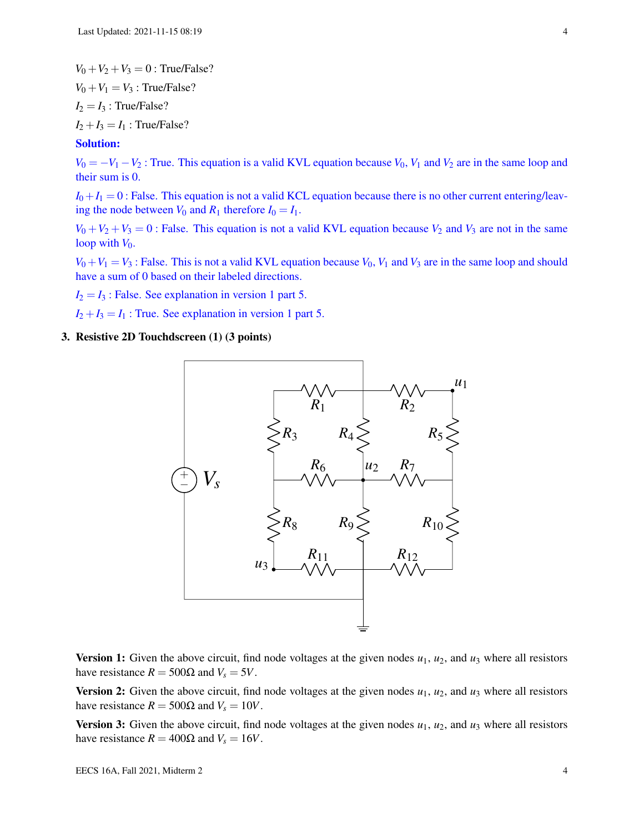$V_0 + V_2 + V_3 = 0$ : True/False?  $V_0 + V_1 = V_3$ : True/False?  $I_2 = I_3$ : True/False?  $I_2 + I_3 = I_1$ : True/False?

## Solution:

 $V_0 = -V_1 - V_2$ : True. This equation is a valid KVL equation because  $V_0$ ,  $V_1$  and  $V_2$  are in the same loop and their sum is 0.

 $I_0 + I_1 = 0$ : False. This equation is not a valid KCL equation because there is no other current entering/leaving the node between  $V_0$  and  $R_1$  therefore  $I_0 = I_1$ .

 $V_0 + V_2 + V_3 = 0$ : False. This equation is not a valid KVL equation because  $V_2$  and  $V_3$  are not in the same loop with  $V_0$ .

 $V_0 + V_1 = V_3$ : False. This is not a valid KVL equation because  $V_0$ ,  $V_1$  and  $V_3$  are in the same loop and should have a sum of 0 based on their labeled directions.

 $I_2 = I_3$ : False. See explanation in version 1 part 5.

 $I_2 + I_3 = I_1$ : True. See explanation in version 1 part 5.

## 3. Resistive 2D Touchdscreen (1) (3 points)



Version 1: Given the above circuit, find node voltages at the given nodes  $u_1$ ,  $u_2$ , and  $u_3$  where all resistors have resistance  $R = 500Ω$  and  $V_s = 5V$ .

**Version 2:** Given the above circuit, find node voltages at the given nodes  $u_1$ ,  $u_2$ , and  $u_3$  where all resistors have resistance  $R = 500\Omega$  and  $V_s = 10V$ .

**Version 3:** Given the above circuit, find node voltages at the given nodes  $u_1$ ,  $u_2$ , and  $u_3$  where all resistors have resistance  $R = 400Ω$  and  $V_s = 16V$ .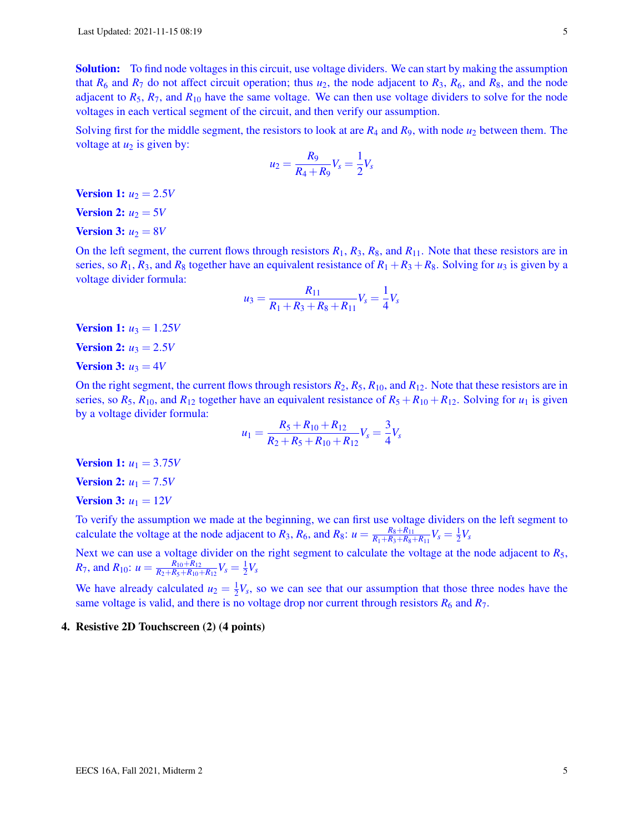Solution: To find node voltages in this circuit, use voltage dividers. We can start by making the assumption that  $R_6$  and  $R_7$  do not affect circuit operation; thus  $u_2$ , the node adjacent to  $R_3$ ,  $R_6$ , and  $R_8$ , and the node adjacent to  $R_5$ ,  $R_7$ , and  $R_{10}$  have the same voltage. We can then use voltage dividers to solve for the node voltages in each vertical segment of the circuit, and then verify our assumption.

Solving first for the middle segment, the resistors to look at are *R*<sup>4</sup> and *R*9, with node *u*<sup>2</sup> between them. The voltage at  $u_2$  is given by:

$$
u_2 = \frac{R_9}{R_4 + R_9} V_s = \frac{1}{2} V_s
$$

**Version 1:**  $u_2 = 2.5V$ 

Version 2:  $u_2 = 5V$ 

Version 3:  $u_2 = 8V$ 

On the left segment, the current flows through resistors *R*1, *R*3, *R*8, and *R*11. Note that these resistors are in series, so  $R_1$ ,  $R_3$ , and  $R_8$  together have an equivalent resistance of  $R_1 + R_3 + R_8$ . Solving for  $u_3$  is given by a voltage divider formula:

$$
u_3 = \frac{R_{11}}{R_1 + R_3 + R_8 + R_{11}} V_s = \frac{1}{4} V_s
$$

**Version 1:**  $u_3 = 1.25V$ 

**Version 2:**  $u_3 = 2.5V$ 

Version 3:  $u_3 = 4V$ 

On the right segment, the current flows through resistors  $R_2$ ,  $R_5$ ,  $R_{10}$ , and  $R_{12}$ . Note that these resistors are in series, so  $R_5$ ,  $R_{10}$ , and  $R_{12}$  together have an equivalent resistance of  $R_5 + R_{10} + R_{12}$ . Solving for  $u_1$  is given by a voltage divider formula:

$$
u_1 = \frac{R_5 + R_{10} + R_{12}}{R_2 + R_5 + R_{10} + R_{12}} V_s = \frac{3}{4} V_s
$$

**Version 1:**  $u_1 = 3.75V$ 

**Version 2:**  $u_1 = 7.5V$ 

**Version 3:**  $u_1 = 12V$ 

To verify the assumption we made at the beginning, we can first use voltage dividers on the left segment to calculate the voltage at the node adjacent to  $R_3$ ,  $R_6$ , and  $R_8$ :  $u = \frac{R_8 + R_{11}}{R_1 + R_2 + R_8}$  $\frac{R_8 + R_{11}}{R_1 + R_3 + R_8 + R_{11}} V_s = \frac{1}{2}$  $rac{1}{2}V_s$ 

Next we can use a voltage divider on the right segment to calculate the voltage at the node adjacent to *R*5, *R*<sub>7</sub>, and *R*<sub>10</sub>:  $u = \frac{R_{10} + R_{12}}{R_2 + R_5 + R_{10}}$  $\frac{R_{10}+R_{12}}{R_2+R_5+R_{10}+R_{12}}V_s=\frac{1}{2}$  $\frac{1}{2}V_s$ 

We have already calculated  $u_2 = \frac{1}{2}$  $\frac{1}{2}V_s$ , so we can see that our assumption that those three nodes have the same voltage is valid, and there is no voltage drop nor current through resistors  $R_6$  and  $R_7$ .

#### 4. Resistive 2D Touchscreen (2) (4 points)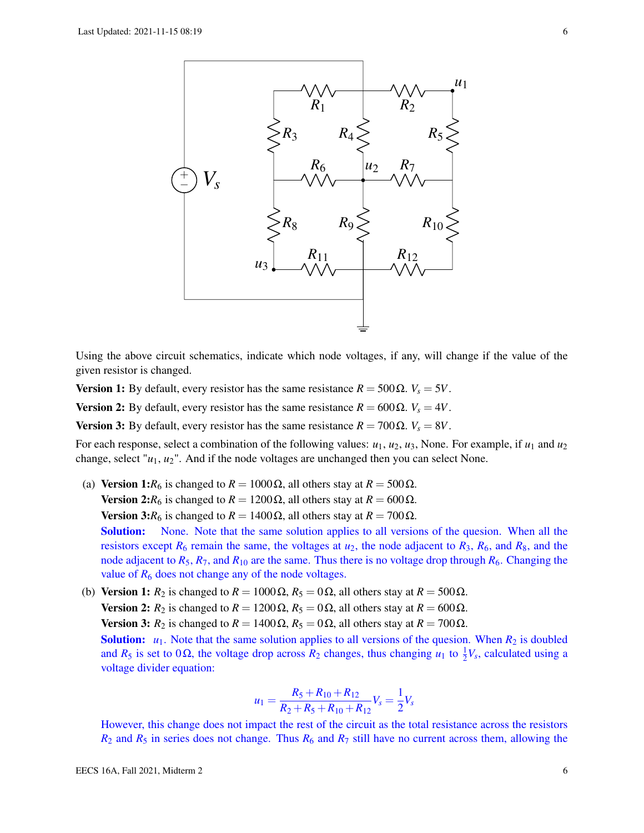

Using the above circuit schematics, indicate which node voltages, if any, will change if the value of the given resistor is changed.

**Version 1:** By default, every resistor has the same resistance  $R = 500 \Omega$ .  $V_s = 5V$ .

**Version 2:** By default, every resistor has the same resistance  $R = 600 Ω$ .  $V_s = 4V$ .

Version 3: By default, every resistor has the same resistance  $R = 700$  Ω.  $V_s = 8V$ .

For each response, select a combination of the following values:  $u_1, u_2, u_3$ , None. For example, if  $u_1$  and  $u_2$ change, select "*u*1, *u*2". And if the node voltages are unchanged then you can select None.

(a) Version 1: $R_6$  is changed to  $R = 1000 \Omega$ , all others stay at  $R = 500 \Omega$ . Version 2: $R_6$  is changed to  $R = 1200 \Omega$ , all others stay at  $R = 600 \Omega$ .

**Version 3:***R*<sub>6</sub> is changed to *R* = 1400 Ω, all others stay at *R* = 700 Ω.

**Solution:** None. Note that the same solution applies to all versions of the quesion. When all the resistors except  $R_6$  remain the same, the voltages at  $u_2$ , the node adjacent to  $R_3$ ,  $R_6$ , and  $R_8$ , and the node adjacent to  $R_5$ ,  $R_7$ , and  $R_{10}$  are the same. Thus there is no voltage drop through  $R_6$ . Changing the value of  $R_6$  does not change any of the node voltages.

(b) Version 1:  $R_2$  is changed to  $R = 1000 \Omega$ ,  $R_5 = 0 \Omega$ , all others stay at  $R = 500 \Omega$ . Version 2:  $R_2$  is changed to  $R = 1200 \Omega$ ,  $R_5 = 0 \Omega$ , all others stay at  $R = 600 \Omega$ . Version 3:  $R_2$  is changed to  $R = 1400 \Omega$ ,  $R_5 = 0 \Omega$ , all others stay at  $R = 700 \Omega$ . **Solution:**  $u_1$ . Note that the same solution applies to all versions of the quesion. When  $R_2$  is doubled and  $R_5$  is set to 0 $\Omega$ , the voltage drop across  $R_2$  changes, thus changing  $u_1$  to  $\frac{1}{2}V_s$ , calculated using a voltage divider equation:

$$
u_1 = \frac{R_5 + R_{10} + R_{12}}{R_2 + R_5 + R_{10} + R_{12}} V_s = \frac{1}{2} V_s
$$

However, this change does not impact the rest of the circuit as the total resistance across the resistors  $R_2$  and  $R_5$  in series does not change. Thus  $R_6$  and  $R_7$  still have no current across them, allowing the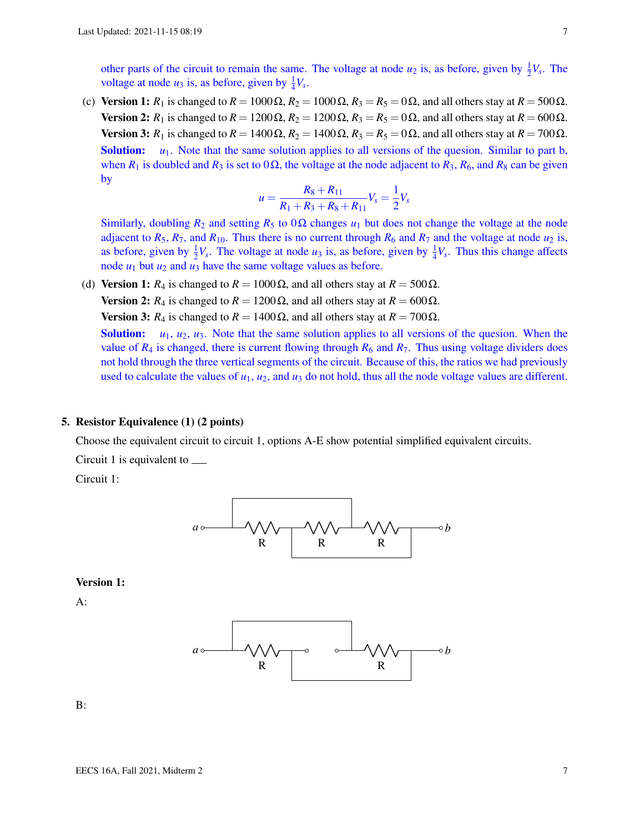other parts of the circuit to remain the same. The voltage at node  $u_2$  is, as before, given by  $\frac{1}{2}V_s$ . The voltage at node  $u_3$  is, as before, given by  $\frac{1}{4}V_s$ .

(c) Version 1:  $R_1$  is changed to  $R = 1000 \Omega$ ,  $R_2 = 1000 \Omega$ ,  $R_3 = R_5 = 0 \Omega$ , and all others stay at  $R = 500 \Omega$ . Version 2: *R*<sub>1</sub> is changed to  $R = 1200 \Omega$ ,  $R_2 = 1200 \Omega$ ,  $R_3 = R_5 = 0 \Omega$ , and all others stay at  $R = 600 \Omega$ . Version 3: *R*<sub>1</sub> is changed to  $R = 1400 \Omega$ ,  $R_2 = 1400 \Omega$ ,  $R_3 = R_5 = 0 \Omega$ , and all others stay at  $R = 700 \Omega$ . Solution: *u*<sub>1</sub>. Note that the same solution applies to all versions of the quesion. Similar to part b, when  $R_1$  is doubled and  $R_3$  is set to 0 $\Omega$ , the voltage at the node adjacent to  $R_3$ ,  $R_6$ , and  $R_8$  can be given by

$$
u = \frac{R_8 + R_{11}}{R_1 + R_3 + R_8 + R_{11}} V_s = \frac{1}{2} V_s
$$

Similarly, doubling  $R_2$  and setting  $R_5$  to  $0\Omega$  changes  $u_1$  but does not change the voltage at the node adjacent to  $R_5$ ,  $R_7$ , and  $R_{10}$ . Thus there is no current through  $R_6$  and  $R_7$  and the voltage at node  $u_2$  is, as before, given by  $\frac{1}{2}V_s$ . The voltage at node  $u_3$  is, as before, given by  $\frac{1}{4}V_s$ . Thus this change affects node  $u_1$  but  $u_2$  and  $u_3$  have the same voltage values as before.

(d) Version 1:  $R_4$  is changed to  $R = 1000 \Omega$ , and all others stay at  $R = 500 \Omega$ . **Version 2:**  $R_4$  is changed to  $R = 1200 Ω$ , and all others stay at  $R = 600 Ω$ .

**Version 3:**  $R_4$  is changed to  $R = 1400 \Omega$ , and all others stay at  $R = 700 \Omega$ .

Solution:  $u_1, u_2, u_3$ . Note that the same solution applies to all versions of the quesion. When the value of  $R_4$  is changed, there is current flowing through  $R_6$  and  $R_7$ . Thus using voltage dividers does not hold through the three vertical segments of the circuit. Because of this, the ratios we had previously used to calculate the values of  $u_1$ ,  $u_2$ , and  $u_3$  do not hold, thus all the node voltage values are different.

## 5. Resistor Equivalence (1) (2 points)

Choose the equivalent circuit to circuit 1, options A-E show potential simplified equivalent circuits.

Circuit 1 is equivalent to

Circuit 1:



#### Version 1:

A:



B: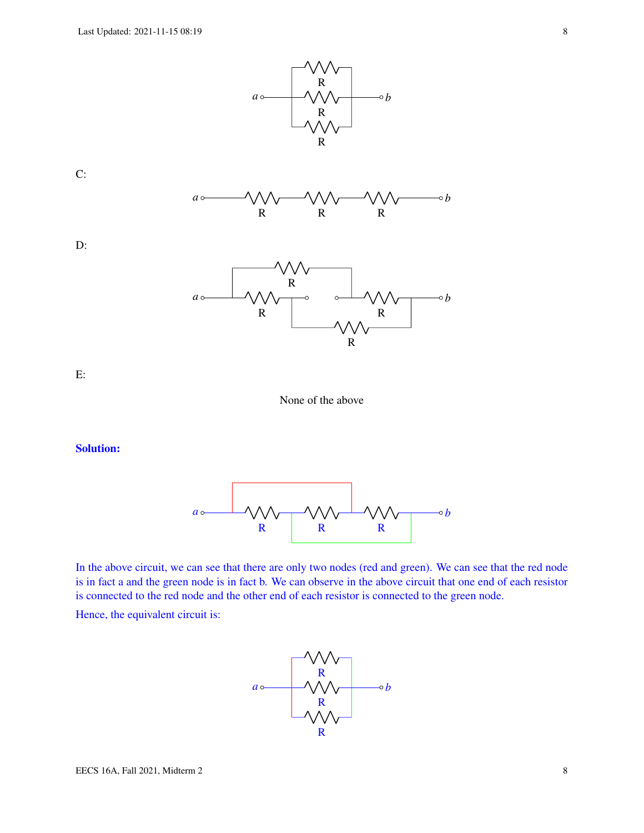





D:



E:

None of the above

## Solution:



In the above circuit, we can see that there are only two nodes (red and green). We can see that the red node is in fact a and the green node is in fact b. We can observe in the above circuit that one end of each resistor is connected to the red node and the other end of each resistor is connected to the green node.

Hence, the equivalent circuit is:

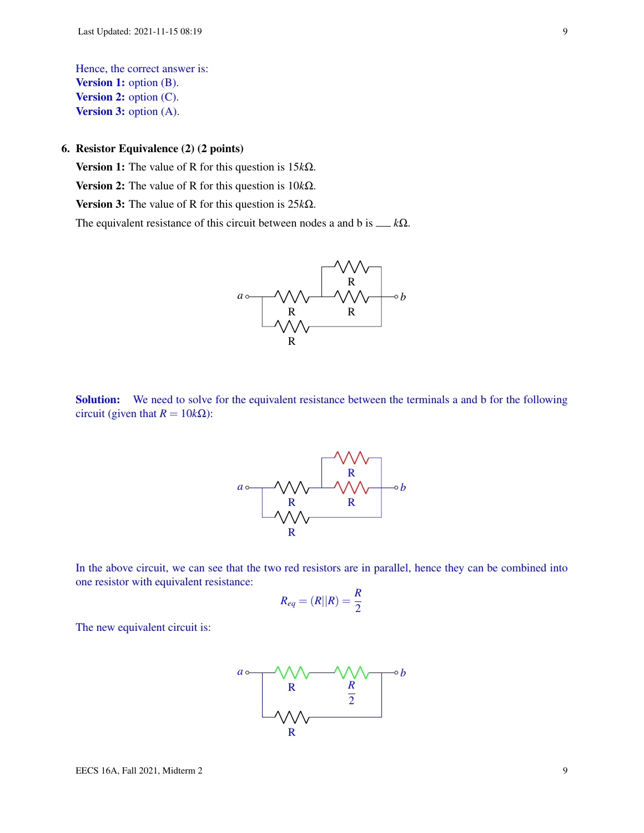Hence, the correct answer is: **Version 1:** option (B). Version 2: option (C). **Version 3:** option (A).

## 6. Resistor Equivalence (2) (2 points)

Version 1: The value of R for this question is 15*k*Ω. Version 2: The value of R for this question is 10*k*Ω. Version 3: The value of R for this question is 25*k*Ω.

The equivalent resistance of this circuit between nodes a and b is  $\_\ k\Omega$ .



Solution: We need to solve for the equivalent resistance between the terminals a and b for the following circuit (given that  $R = 10k\Omega$ ):



In the above circuit, we can see that the two red resistors are in parallel, hence they can be combined into one resistor with equivalent resistance:

$$
R_{eq} = (R||R) = \frac{R}{2}
$$

The new equivalent circuit is:

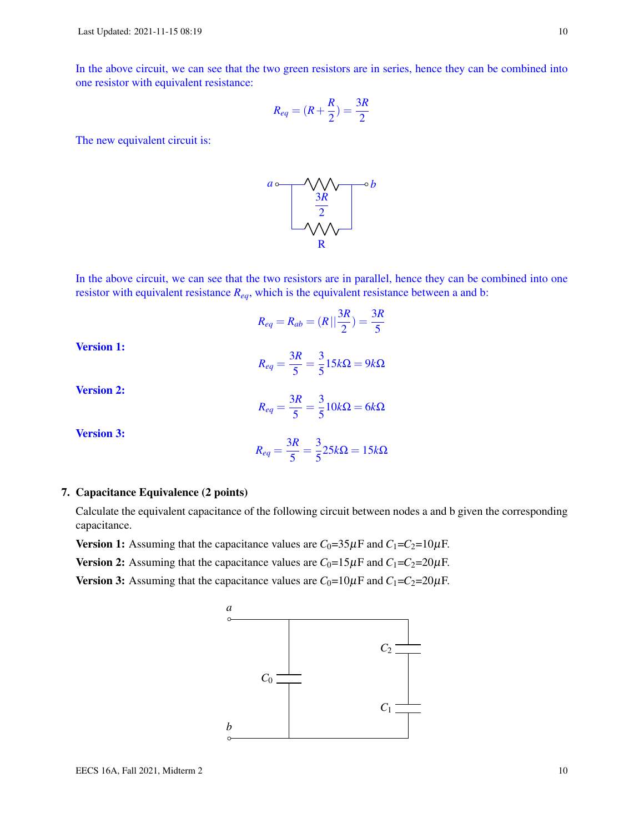In the above circuit, we can see that the two green resistors are in series, hence they can be combined into one resistor with equivalent resistance:

$$
R_{eq} = (R + \frac{R}{2}) = \frac{3R}{2}
$$

The new equivalent circuit is:



In the above circuit, we can see that the two resistors are in parallel, hence they can be combined into one resistor with equivalent resistance *Req*, which is the equivalent resistance between a and b:

$$
R_{eq} = R_{ab} = (R||\frac{3R}{2}) = \frac{3R}{5}
$$

Version 1:

$$
R_{eq} = \frac{3R}{5} = \frac{3}{5}15k\Omega = 9k\Omega
$$

Version 2:

$$
R_{eq} = \frac{3R}{5} = \frac{3}{5}10k\Omega = 6k\Omega
$$

Version 3:

$$
R_{eq} = \frac{3R}{5} = \frac{3}{5}25k\Omega = 15k\Omega
$$

## 7. Capacitance Equivalence (2 points)

Calculate the equivalent capacitance of the following circuit between nodes a and b given the corresponding capacitance.

**Version 1:** Assuming that the capacitance values are  $C_0 = 35 \mu$ F and  $C_1 = C_2 = 10 \mu$ F.

Version 2: Assuming that the capacitance values are  $C_0=15\mu$ F and  $C_1=C_2=20\mu$ F.

Version 3: Assuming that the capacitance values are  $C_0=10\mu F$  and  $C_1=C_2=20\mu F$ .

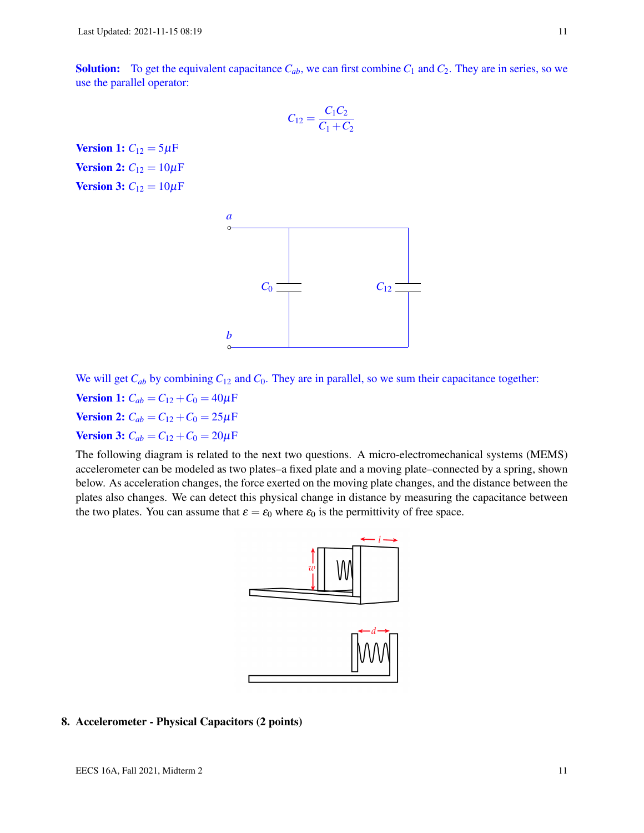**Solution:** To get the equivalent capacitance  $C_{ab}$ , we can first combine  $C_1$  and  $C_2$ . They are in series, so we use the parallel operator:

$$
C_{12} = \frac{C_1 C_2}{C_1 + C_2}
$$

**Version 1:**  $C_{12} = 5 \mu F$ **Version 2:**  $C_{12} = 10 \mu F$ **Version 3:**  $C_{12} = 10 \mu F$ 



We will get  $C_{ab}$  by combining  $C_{12}$  and  $C_0$ . They are in parallel, so we sum their capacitance together: **Version 1:**  $C_{ab} = C_{12} + C_0 = 40 \mu F$ **Version 2:**  $C_{ab} = C_{12} + C_0 = 25 \mu F$ **Version 3:**  $C_{ab} = C_{12} + C_0 = 20 \mu F$ 

The following diagram is related to the next two questions. A micro-electromechanical systems (MEMS) accelerometer can be modeled as two plates–a fixed plate and a moving plate–connected by a spring, shown below. As acceleration changes, the force exerted on the moving plate changes, and the distance between the plates also changes. We can detect this physical change in distance by measuring the capacitance between the two plates. You can assume that  $\varepsilon = \varepsilon_0$  where  $\varepsilon_0$  is the permittivity of free space.



## 8. Accelerometer - Physical Capacitors (2 points)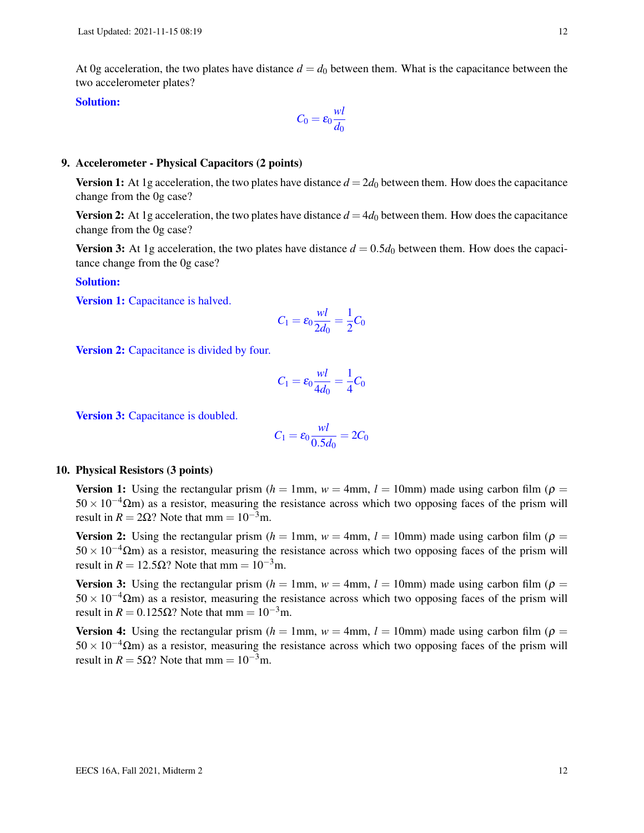At 0g acceleration, the two plates have distance  $d = d_0$  between them. What is the capacitance between the two accelerometer plates?

## Solution:

$$
C_0 = \varepsilon_0 \frac{wl}{d_0}
$$

## 9. Accelerometer - Physical Capacitors (2 points)

**Version 1:** At 1g acceleration, the two plates have distance  $d = 2d_0$  between them. How does the capacitance change from the 0g case?

**Version 2:** At 1g acceleration, the two plates have distance  $d = 4d_0$  between them. How does the capacitance change from the 0g case?

Version 3: At 1g acceleration, the two plates have distance  $d = 0.5d_0$  between them. How does the capacitance change from the 0g case?

## Solution:

Version 1: Capacitance is halved.

$$
C_1 = \varepsilon_0 \frac{wl}{2d_0} = \frac{1}{2}C_0
$$

Version 2: Capacitance is divided by four.

$$
C_1=\epsilon_0\frac{wl}{4d_0}=\frac{1}{4}C_0
$$

Version 3: Capacitance is doubled.

$$
C_1 = \varepsilon_0 \frac{wl}{0.5d_0} = 2C_0
$$

## 10. Physical Resistors (3 points)

**Version 1:** Using the rectangular prism  $(h = 1)$ mm,  $w = 4$ mm,  $l = 10$ mm) made using carbon film ( $\rho =$  $50 \times 10^{-4} \Omega$ m) as a resistor, measuring the resistance across which two opposing faces of the prism will result in  $R = 2\Omega$ ? Note that mm =  $10^{-3}$ m.

Version 2: Using the rectangular prism  $(h = 1$ mm,  $w = 4$ mm,  $l = 10$ mm) made using carbon film ( $\rho =$  $50 \times 10^{-4} \Omega$ m) as a resistor, measuring the resistance across which two opposing faces of the prism will result in  $R = 12.5\Omega$ ? Note that mm =  $10^{-3}$ m.

**Version 3:** Using the rectangular prism  $(h = 1)$ mm,  $w = 4$ mm,  $l = 10$ mm) made using carbon film ( $\rho =$  $50 \times 10^{-4} \Omega$ m) as a resistor, measuring the resistance across which two opposing faces of the prism will result in  $R = 0.125\Omega$ ? Note that mm =  $10^{-3}$ m.

**Version 4:** Using the rectangular prism  $(h = 1$ mm,  $w = 4$ mm,  $l = 10$ mm) made using carbon film ( $\rho =$  $50 \times 10^{-4} \Omega$ m) as a resistor, measuring the resistance across which two opposing faces of the prism will result in  $R = 5\Omega$ ? Note that mm =  $10^{-3}$ m.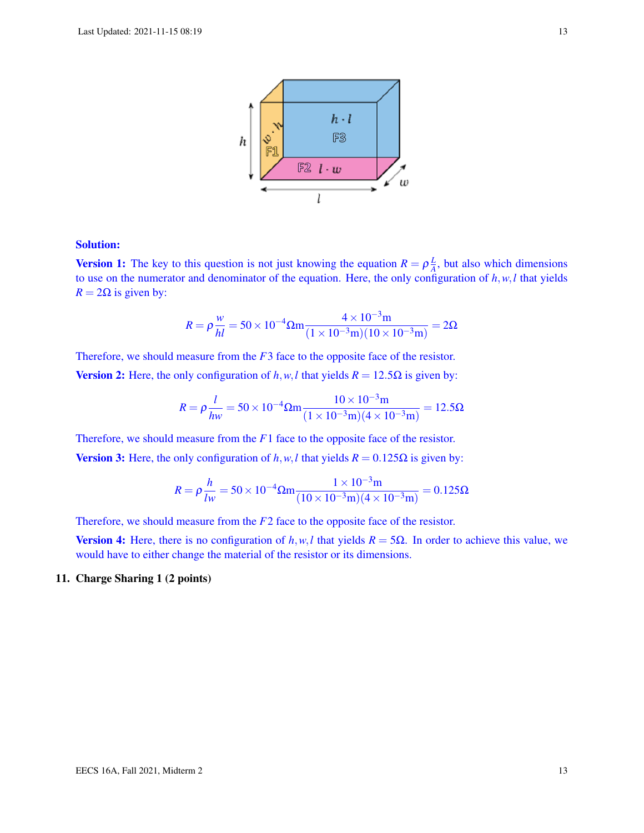

## Solution:

**Version 1:** The key to this question is not just knowing the equation  $R = \rho \frac{L}{A}$  $\frac{L}{A}$ , but also which dimensions to use on the numerator and denominator of the equation. Here, the only configuration of *h*,*w*,*l* that yields  $R = 2\Omega$  is given by:

$$
R = \rho \frac{w}{hl} = 50 \times 10^{-4} \Omega m \frac{4 \times 10^{-3} m}{(1 \times 10^{-3} m)(10 \times 10^{-3} m)} = 2 \Omega
$$

Therefore, we should measure from the *F*3 face to the opposite face of the resistor.

Version 2: Here, the only configuration of  $h$ ,  $w$ ,  $l$  that yields  $R = 12.5\Omega$  is given by:

$$
R = \rho \frac{l}{hw} = 50 \times 10^{-4} \Omega m \frac{10 \times 10^{-3} m}{(1 \times 10^{-3} m)(4 \times 10^{-3} m)} = 12.5 \Omega
$$

Therefore, we should measure from the *F*1 face to the opposite face of the resistor.

Version 3: Here, the only configuration of *h*,*w*,*l* that yields  $R = 0.125Ω$  is given by:

$$
R = \rho \frac{h}{lw} = 50 \times 10^{-4} \Omega m \frac{1 \times 10^{-3} m}{(10 \times 10^{-3} m)(4 \times 10^{-3} m)} = 0.125 \Omega
$$

Therefore, we should measure from the *F*2 face to the opposite face of the resistor.

**Version 4:** Here, there is no configuration of *h*,*w*,*l* that yields  $R = 5Ω$ . In order to achieve this value, we would have to either change the material of the resistor or its dimensions.

## 11. Charge Sharing 1 (2 points)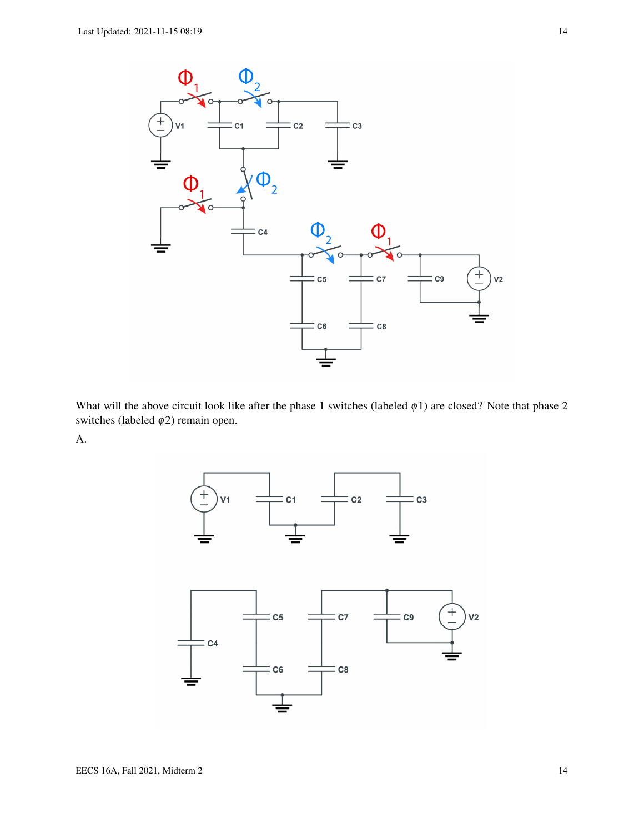

What will the above circuit look like after the phase 1 switches (labeled  $\phi$ 1) are closed? Note that phase 2 switches (labeled  $\phi$ 2) remain open.

A.

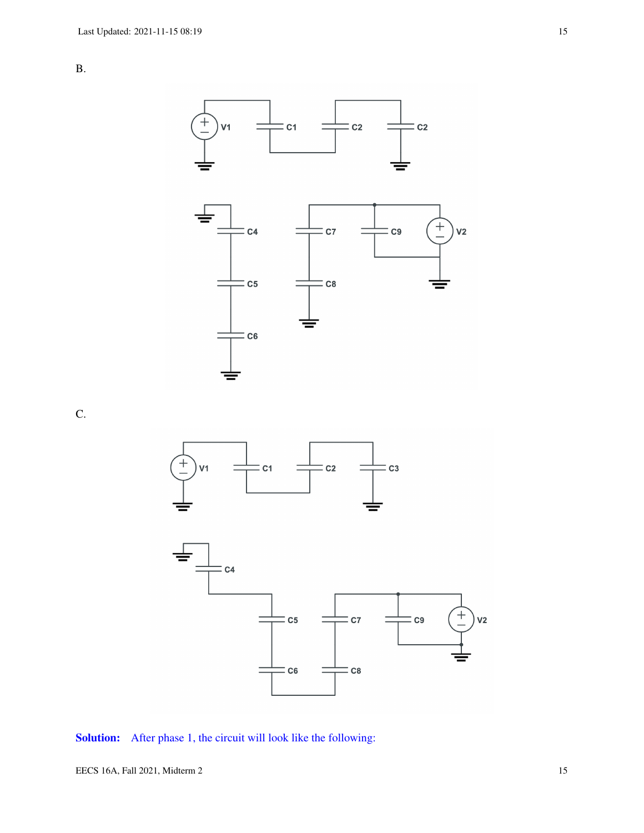



C.



## Solution: After phase 1, the circuit will look like the following: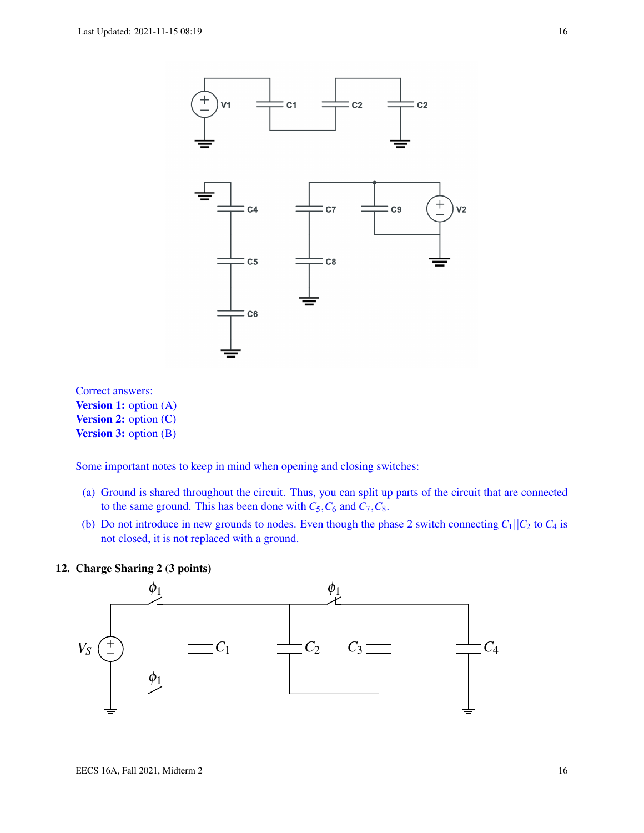

Correct answers: **Version 1:** option (A) **Version 2:** option (C) **Version 3:** option (B)

Some important notes to keep in mind when opening and closing switches:

- (a) Ground is shared throughout the circuit. Thus, you can split up parts of the circuit that are connected to the same ground. This has been done with  $C_5$ ,  $C_6$  and  $C_7$ ,  $C_8$ .
- (b) Do not introduce in new grounds to nodes. Even though the phase 2 switch connecting  $C_1||C_2$  to  $C_4$  is not closed, it is not replaced with a ground.



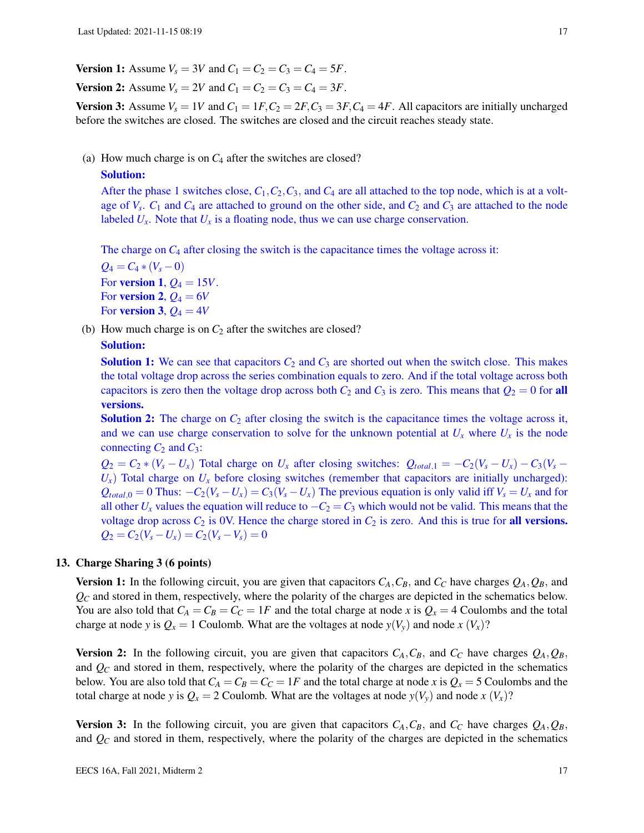**Version 1:** Assume  $V_s = 3V$  and  $C_1 = C_2 = C_3 = C_4 = 5F$ .

**Version 2:** Assume  $V_s = 2V$  and  $C_1 = C_2 = C_3 = C_4 = 3F$ .

**Version 3:** Assume  $V_s = 1V$  and  $C_1 = 1F$ ,  $C_2 = 2F$ ,  $C_3 = 3F$ ,  $C_4 = 4F$ . All capacitors are initially uncharged before the switches are closed. The switches are closed and the circuit reaches steady state.

(a) How much charge is on *C*<sup>4</sup> after the switches are closed?

#### Solution:

After the phase 1 switches close,  $C_1$ ,  $C_2$ ,  $C_3$ , and  $C_4$  are all attached to the top node, which is at a voltage of  $V_s$ .  $C_1$  and  $C_4$  are attached to ground on the other side, and  $C_2$  and  $C_3$  are attached to the node labeled  $U_x$ . Note that  $U_x$  is a floating node, thus we can use charge conservation.

The charge on  $C_4$  after closing the switch is the capacitance times the voltage across it:

 $Q_4 = C_4 * (V_s - 0)$ For **version 1**,  $Q_4 = 15V$ . For **version 2**,  $Q_4 = 6V$ For **version 3**,  $Q_4 = 4V$ 

(b) How much charge is on  $C_2$  after the switches are closed?

## Solution:

**Solution 1:** We can see that capacitors  $C_2$  and  $C_3$  are shorted out when the switch close. This makes the total voltage drop across the series combination equals to zero. And if the total voltage across both capacitors is zero then the voltage drop across both  $C_2$  and  $C_3$  is zero. This means that  $Q_2 = 0$  for all versions.

**Solution 2:** The charge on  $C_2$  after closing the switch is the capacitance times the voltage across it, and we can use charge conservation to solve for the unknown potential at  $U_x$  where  $U_x$  is the node connecting  $C_2$  and  $C_3$ :

 $Q_2 = C_2 * (V_s - U_x)$  Total charge on  $U_x$  after closing switches:  $Q_{total,1} = -C_2(V_s - U_x) - C_3(V_s - U_x)$  $U_x$ ) Total charge on  $U_x$  before closing switches (remember that capacitors are initially uncharged):  $Q_{total,0} = 0$  Thus:  $-C_2(V_s - U_x) = C_3(V_s - U_x)$  The previous equation is only valid iff  $V_s = U_x$  and for all other  $U_x$  values the equation will reduce to  $-C_2 = C_3$  which would not be valid. This means that the voltage drop across  $C_2$  is 0V. Hence the charge stored in  $C_2$  is zero. And this is true for **all versions.**  $Q_2 = C_2(V_s - U_x) = C_2(V_s - V_s) = 0$ 

#### 13. Charge Sharing 3 (6 points)

**Version 1:** In the following circuit, you are given that capacitors  $C_A$ ,  $C_B$ , and  $C_C$  have charges  $Q_A$ ,  $Q_B$ , and  $Q_C$  and stored in them, respectively, where the polarity of the charges are depicted in the schematics below. You are also told that  $C_A = C_B = C_C = 1F$  and the total charge at node *x* is  $Q_x = 4$  Coulombs and the total charge at node *y* is  $Q_x = 1$  Coulomb. What are the voltages at node  $y(V_y)$  and node  $x(V_x)$ ?

**Version 2:** In the following circuit, you are given that capacitors  $C_A$ ,  $C_B$ , and  $C_C$  have charges  $Q_A$ ,  $Q_B$ , and  $\mathcal{Q}_C$  and stored in them, respectively, where the polarity of the charges are depicted in the schematics below. You are also told that  $C_A = C_B = C_C = 1F$  and the total charge at node *x* is  $Q_x = 5$  Coulombs and the total charge at node *y* is  $Q_x = 2$  Coulomb. What are the voltages at node  $y(V_y)$  and node  $x(V_x)$ ?

**Version 3:** In the following circuit, you are given that capacitors  $C_A$ ,  $C_B$ , and  $C_C$  have charges  $Q_A$ ,  $Q_B$ , and  $\mathcal{Q}_C$  and stored in them, respectively, where the polarity of the charges are depicted in the schematics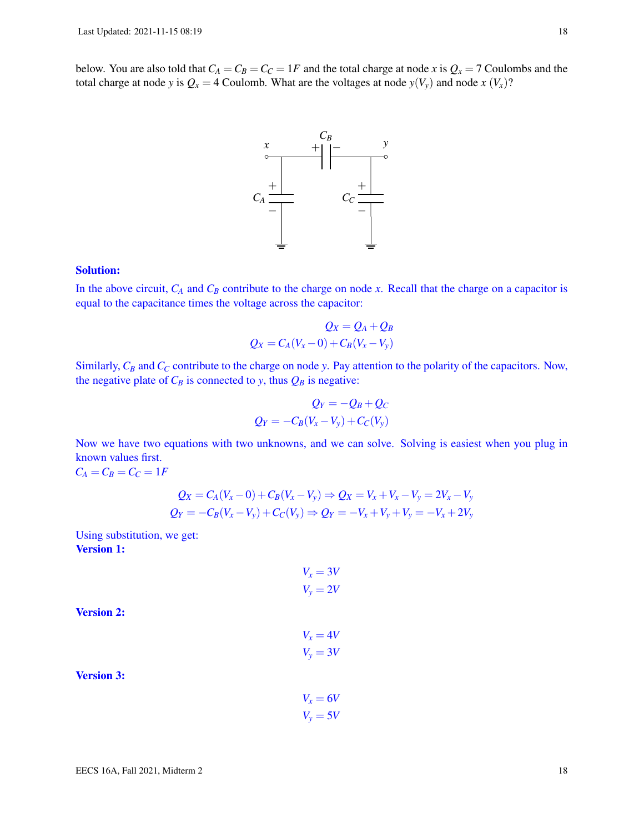below. You are also told that  $C_A = C_B = C_C = 1F$  and the total charge at node *x* is  $Q_x = 7$  Coulombs and the total charge at node *y* is  $Q_x = 4$  Coulomb. What are the voltages at node  $y(V_y)$  and node  $x(V_x)$ ?



#### Solution:

In the above circuit,  $C_A$  and  $C_B$  contribute to the charge on node *x*. Recall that the charge on a capacitor is equal to the capacitance times the voltage across the capacitor:

$$
Q_X = Q_A + Q_B
$$
  

$$
Q_X = C_A(V_X - 0) + C_B(V_X - V_y)
$$

Similarly, *C<sup>B</sup>* and *C<sup>C</sup>* contribute to the charge on node *y*. Pay attention to the polarity of the capacitors. Now, the negative plate of  $C_B$  is connected to *y*, thus  $Q_B$  is negative:

$$
Q_Y = -Q_B + Q_C
$$
  

$$
Q_Y = -C_B(V_x - V_y) + C_C(V_y)
$$

Now we have two equations with two unknowns, and we can solve. Solving is easiest when you plug in known values first.  $C_A = C_B = C_C = 1F$ 

$$
Q_X = C_A(V_x - 0) + C_B(V_x - V_y) \Rightarrow Q_X = V_x + V_x - V_y = 2V_x - V_y
$$
  

$$
Q_Y = -C_B(V_x - V_y) + C_C(V_y) \Rightarrow Q_Y = -V_x + V_y + V_y = -V_x + 2V_y
$$

Using substitution, we get: Version 1:

$$
V_x = 3V
$$
  

$$
V_y = 2V
$$

Version 2:

$$
V_x = 4V
$$

$$
V_y = 3V
$$

Version 3:

$$
V_x = 6V
$$

$$
V_y = 5V
$$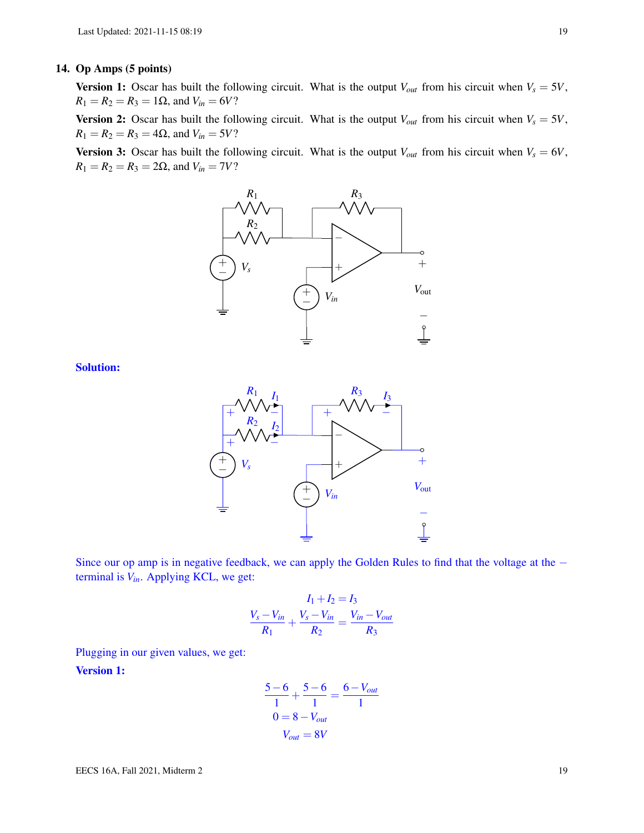## 14. Op Amps (5 points)

**Version 1:** Oscar has built the following circuit. What is the output  $V_{out}$  from his circuit when  $V_s = 5V$ ,  $R_1 = R_2 = R_3 = 1\Omega$ , and  $V_{in} = 6V$ ?

**Version 2:** Oscar has built the following circuit. What is the output  $V_{out}$  from his circuit when  $V_s = 5V$ ,  $R_1 = R_2 = R_3 = 4\Omega$ , and  $V_{in} = 5V$ ?

**Version 3:** Oscar has built the following circuit. What is the output  $V_{out}$  from his circuit when  $V_s = 6V$ ,  $R_1 = R_2 = R_3 = 2\Omega$ , and  $V_{in} = 7V$ ?



Solution:



Since our op amp is in negative feedback, we can apply the Golden Rules to find that the voltage at the − terminal is *Vin*. Applying KCL, we get:

$$
\frac{I_1 + I_2 = I_3}{R_1} + \frac{V_s - V_{in}}{R_2} = \frac{V_{in} - V_{out}}{R_3}
$$

Plugging in our given values, we get:

Version 1:

$$
\frac{5-6}{1} + \frac{5-6}{1} = \frac{6-V_{out}}{1}
$$

$$
0 = 8-V_{out}
$$

$$
V_{out} = 8V
$$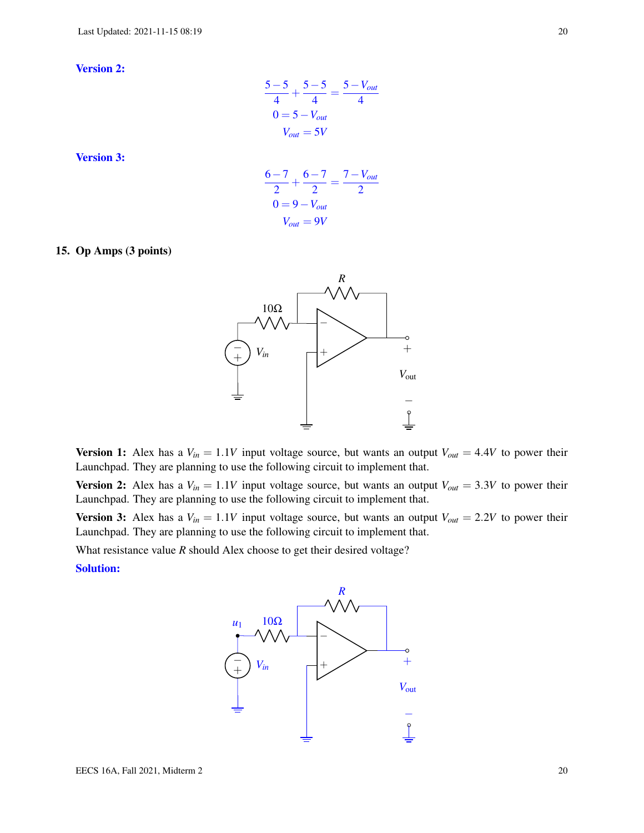Version 2:

$$
\frac{5-5}{4} + \frac{5-5}{4} = \frac{5-V_{out}}{4}
$$

$$
0 = 5-V_{out}
$$

$$
V_{out} = 5V
$$

Version 3:

$$
\frac{6-7}{2} + \frac{6-7}{2} = \frac{7 - V_{out}}{2}
$$

$$
0 = 9 - V_{out}
$$

$$
V_{out} = 9V
$$

#### 15. Op Amps (3 points)



**Version 1:** Alex has a  $V_{in} = 1.1V$  input voltage source, but wants an output  $V_{out} = 4.4V$  to power their Launchpad. They are planning to use the following circuit to implement that.

**Version 2:** Alex has a  $V_{in} = 1.1V$  input voltage source, but wants an output  $V_{out} = 3.3V$  to power their Launchpad. They are planning to use the following circuit to implement that.

**Version 3:** Alex has a  $V_{in} = 1.1V$  input voltage source, but wants an output  $V_{out} = 2.2V$  to power their Launchpad. They are planning to use the following circuit to implement that.

What resistance value *R* should Alex choose to get their desired voltage?

Solution:

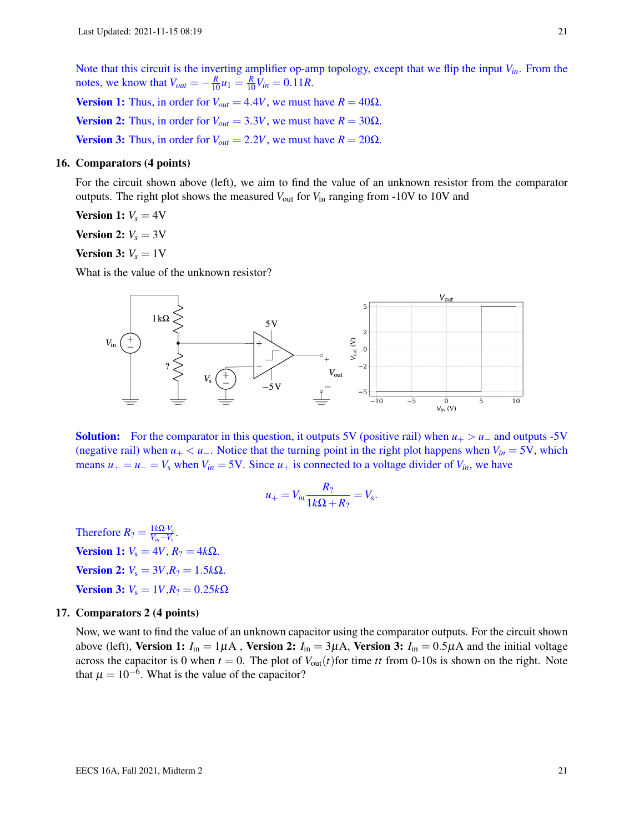Note that this circuit is the inverting amplifier op-amp topology, except that we flip the input *Vin*. From the notes, we know that  $V_{out} = -\frac{R}{10}u_1 = \frac{R}{10}V_{in} = 0.11R$ .

Version 1: Thus, in order for  $V_{out} = 4.4V$ , we must have  $R = 40\Omega$ . **Version 2:** Thus, in order for  $V_{out} = 3.3V$ , we must have  $R = 30\Omega$ . **Version 3:** Thus, in order for  $V_{out} = 2.2V$ , we must have  $R = 20\Omega$ .

## 16. Comparators (4 points)

For the circuit shown above (left), we aim to find the value of an unknown resistor from the comparator outputs. The right plot shows the measured  $V_{\text{out}}$  for  $V_{\text{in}}$  ranging from -10V to 10V and

**Version 1:**  $V_s = 4V$ 

**Version 2:**  $V_s = 3V$ 

## **Version 3:**  $V_s = 1$  V

What is the value of the unknown resistor?



**Solution:** For the comparator in this question, it outputs 5V (positive rail) when  $u_{+} > u_{-}$  and outputs -5V (negative rail) when  $u_+ < u_-$ . Notice that the turning point in the right plot happens when  $V_{in} = 5V$ , which means  $u_+ = u_- = V_s$  when  $V_{in} = 5V$ . Since  $u_+$  is connected to a voltage divider of  $V_{in}$ , we have

$$
u_{+}=V_{in}\frac{R_?}{1k\Omega+R_?}=V_{s}.
$$

Therefore  $R_? = \frac{1k\Omega \cdot V_s}{V_{in} - V_s}$  $\frac{1}{K} \frac{1}{V_{in} - V_{s}}$ . Version 1:  $V_s = 4V$ ,  $R_2 = 4k\Omega$ . *Version* 2:  $V_s = 3V$ , $R_? = 1.5kΩ$ . *Version* 3:  $V_s = 1V$ , $R_? = 0.25kΩ$ 

## 17. Comparators 2 (4 points)

Now, we want to find the value of an unknown capacitor using the comparator outputs. For the circuit shown above (left), Version 1:  $I_{in} = 1\mu A$ , Version 2:  $I_{in} = 3\mu A$ , Version 3:  $I_{in} = 0.5\mu A$  and the initial voltage across the capacitor is 0 when  $t = 0$ . The plot of  $V_{out}(t)$  for time *tt* from 0-10s is shown on the right. Note that  $\mu = 10^{-6}$ . What is the value of the capacitor?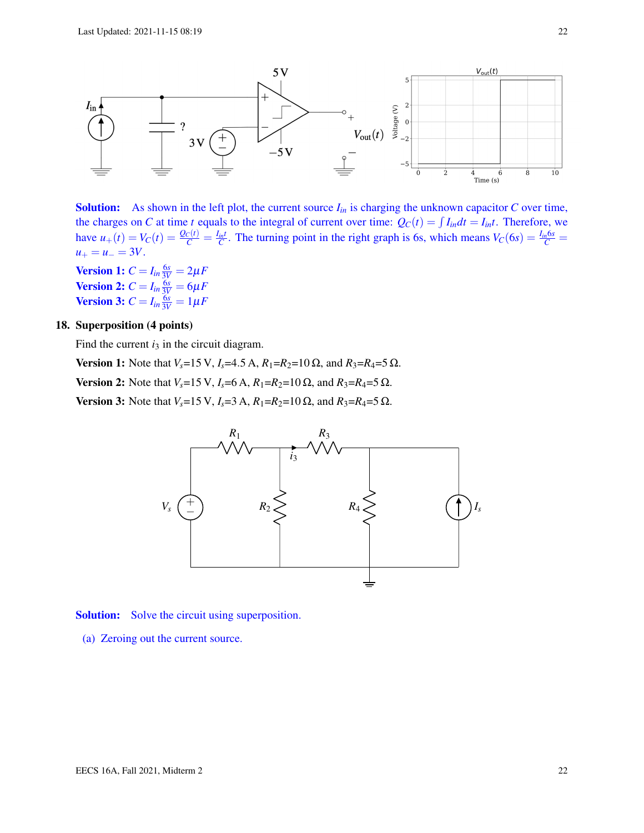

**Solution:** As shown in the left plot, the current source  $I_{in}$  is charging the unknown capacitor  $C$  over time, the charges on *C* at time *t* equals to the integral of current over time:  $Q_C(t) = \int I_{in} dt = I_{in}t$ . Therefore, we have  $u_+(t) = V_C(t) = \frac{Q_C(t)}{C} = \frac{I_{int}}{C}$ . The turning point in the right graph is 6s, which means  $V_C(6s) = \frac{I_{in}6s}{C}$  $u_+ = u_- = 3V$ .

**Version 1:**  $C = I_{in} \frac{6s}{3V} = 2\mu F$ **Version 2:**  $C = I_{in} \frac{6s}{3V} = 6\mu F$ **Version 3:**  $C = I_{in} \frac{6s}{3V} = 1 \mu F$ 

## 18. Superposition (4 points)

Find the current  $i_3$  in the circuit diagram.

Version 1: Note that *V<sub>s</sub>*=15 V, *I<sub>s</sub>*=4.5 A,  $R_1$ = $R_2$ =10 Ω, and  $R_3$ = $R_4$ =5 Ω. Version 2: Note that  $V_s = 15$  V,  $I_s = 6$  A,  $R_1 = R_2 = 10$  Ω, and  $R_3 = R_4 = 5$  Ω. Version 3: Note that *V<sub>s</sub>*=15 V, *I<sub>s</sub>*=3 A, *R*<sub>1</sub>=*R*<sub>2</sub>=10 Ω, and *R*<sub>3</sub>=*R*<sub>4</sub>=5 Ω.



Solution: Solve the circuit using superposition.

(a) Zeroing out the current source.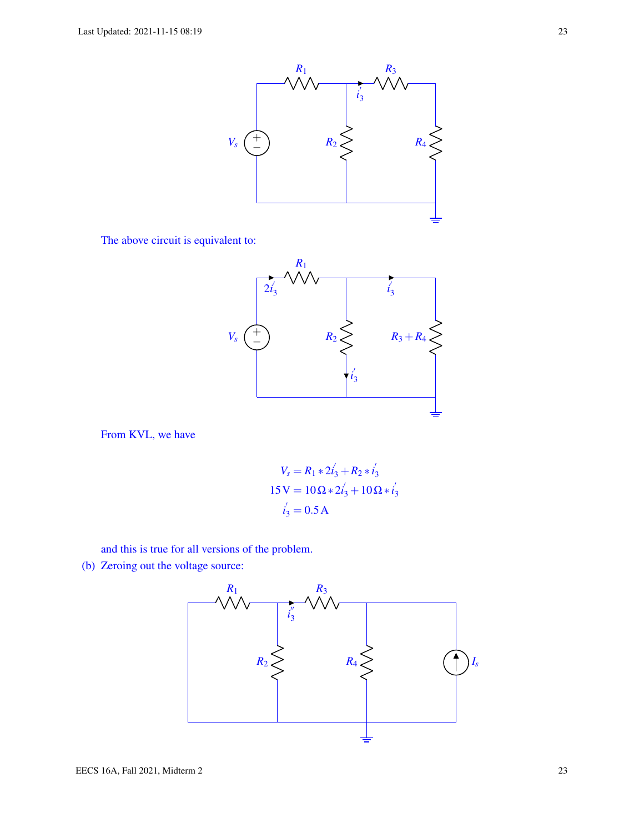

The above circuit is equivalent to:



From KVL, we have

$$
V_s = R_1 * 2i'_3 + R_2 * i'_3
$$
  
15 V = 10 $\Omega$  \* 2i'<sub>3</sub> + 10 $\Omega$  \* i'<sub>3</sub>  
 $i'_3$  = 0.5 A

and this is true for all versions of the problem.

(b) Zeroing out the voltage source:

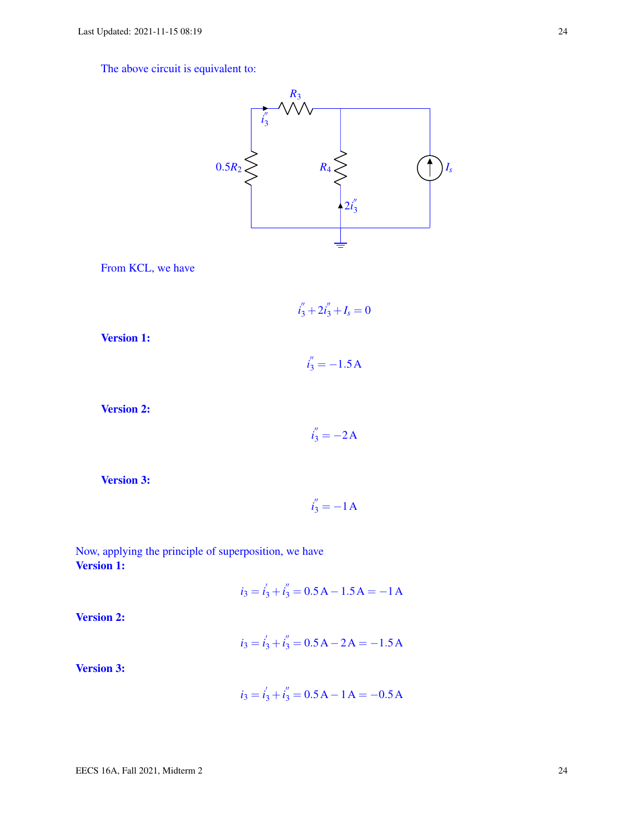The above circuit is equivalent to:



From KCL, we have

$$
i_3'' + 2i_3'' + I_s = 0
$$

Version 1:

 $i_3'' = -1.5A$ 

Version 2:

$$
i_3'' = -2A
$$

 $i_3'' = -1A$ 

Version 3:

Now, applying the principle of superposition, we have Version 1:

 $i_3 = i_3' + i_3'' = 0.5A - 1.5A = -1A$ 

Version 2:

 $i_3 = i_3' + i_3'' = 0.5A - 2A = -1.5A$ 

Version 3:

$$
i_3 = i'_3 + i''_3 = 0.5 \,\mathrm{A} - 1 \,\mathrm{A} = -0.5 \,\mathrm{A}
$$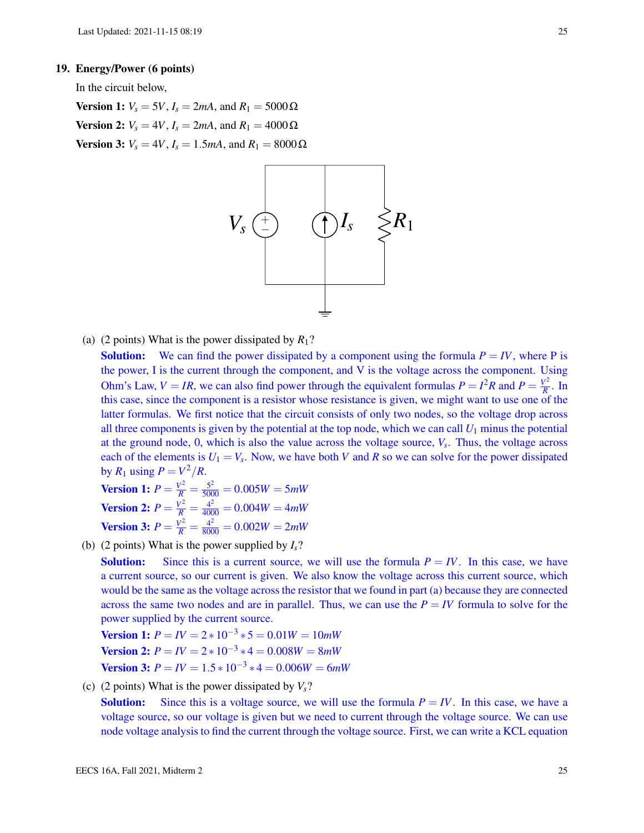### 19. Energy/Power (6 points)

In the circuit below,

**Version 1:**  $V_s = 5V$ ,  $I_s = 2mA$ , and  $R_1 = 5000 Ω$ Version 2:  $V_s = 4V$ ,  $I_s = 2mA$ , and  $R_1 = 4000 Ω$ **Version 3:**  $V_s = 4V$ ,  $I_s = 1.5mA$ , and  $R_1 = 8000 Ω$ 



(a) (2 points) What is the power dissipated by  $R_1$ ?

**Solution:** We can find the power dissipated by a component using the formula  $P = IV$ , where P is the power, I is the current through the component, and V is the voltage across the component. Using Ohm's Law,  $V = IR$ , we can also find power through the equivalent formulas  $P = I^2R$  and  $P = \frac{V^2}{R}$  $\frac{2}{R}$ . In this case, since the component is a resistor whose resistance is given, we might want to use one of the latter formulas. We first notice that the circuit consists of only two nodes, so the voltage drop across all three components is given by the potential at the top node, which we can call  $U_1$  minus the potential at the ground node, 0, which is also the value across the voltage source, *V<sup>s</sup>* . Thus, the voltage across each of the elements is  $U_1 = V_s$ . Now, we have both *V* and *R* so we can solve for the power dissipated by  $R_1$  using  $P = V^2/R$ .

**Version 1:** 
$$
P = \frac{V^2}{R} = \frac{5^2}{5000} = 0.005W = 5mW
$$
  
\n**Version 2:**  $P = \frac{V^2}{R} = \frac{4^2}{4000} = 0.004W = 4mW$   
\n**Version 3:**  $P = \frac{V^2}{R} = \frac{4^2}{8000} = 0.002W = 2mW$ 

(b) (2 points) What is the power supplied by  $I_s$ ?

**Solution:** Since this is a current source, we will use the formula  $P = IV$ . In this case, we have a current source, so our current is given. We also know the voltage across this current source, which would be the same as the voltage across the resistor that we found in part (a) because they are connected across the same two nodes and are in parallel. Thus, we can use the  $P = IV$  formula to solve for the power supplied by the current source.

**Version 1:**  $P = IV = 2 * 10^{-3} * 5 = 0.01W = 10mW$ **Version 2:**  $P = IV = 2 * 10^{-3} * 4 = 0.008W = 8mW$ **Version 3:**  $P = IV = 1.5 * 10^{-3} * 4 = 0.006W = 6mW$ 

(c) (2 points) What is the power dissipated by  $V_s$ ?

**Solution:** Since this is a voltage source, we will use the formula  $P = IV$ . In this case, we have a voltage source, so our voltage is given but we need to current through the voltage source. We can use node voltage analysis to find the current through the voltage source. First, we can write a KCL equation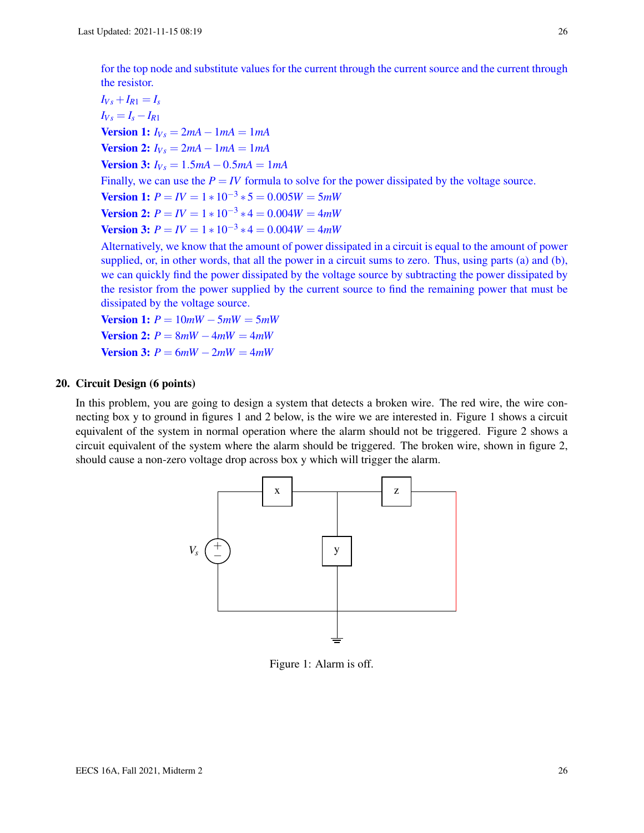for the top node and substitute values for the current through the current source and the current through the resistor.

 $I_{Vs} + I_{R1} = I_s$  $I_{Vs} = I_s - I_{R1}$ **Version 1:**  $I_{Vs} = 2mA - 1mA = 1mA$ **Version 2:**  $I_{Vs} = 2mA - 1mA = 1mA$  $$ Finally, we can use the  $P = IV$  formula to solve for the power dissipated by the voltage source. **Version 1:**  $P = IV = 1 * 10^{-3} * 5 = 0.005W = 5mW$ **Version 2:**  $P = IV = 1 * 10^{-3} * 4 = 0.004W = 4mW$ **Version 3:**  $P = IV = 1 * 10^{-3} * 4 = 0.004W = 4mW$ Alternatively, we know that the amount of power dissipated in a circuit is equal to the amount of power

supplied, or, in other words, that all the power in a circuit sums to zero. Thus, using parts (a) and (b), we can quickly find the power dissipated by the voltage source by subtracting the power dissipated by the resistor from the power supplied by the current source to find the remaining power that must be dissipated by the voltage source.

 $$  $$ **Version 3:**  $P = 6mW - 2mW = 4mW$ 

## 20. Circuit Design (6 points)

In this problem, you are going to design a system that detects a broken wire. The red wire, the wire connecting box y to ground in figures 1 and 2 below, is the wire we are interested in. Figure 1 shows a circuit equivalent of the system in normal operation where the alarm should not be triggered. Figure 2 shows a circuit equivalent of the system where the alarm should be triggered. The broken wire, shown in figure 2, should cause a non-zero voltage drop across box y which will trigger the alarm.



Figure 1: Alarm is off.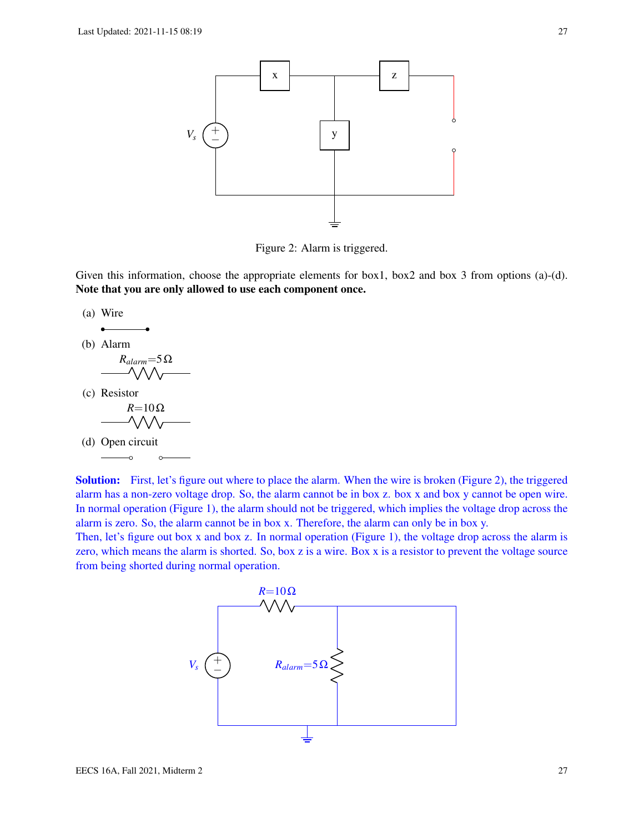

Figure 2: Alarm is triggered.

Given this information, choose the appropriate elements for box1, box2 and box 3 from options (a)-(d). Note that you are only allowed to use each component once.

(a) Wire

(b) Alarm

$$
\underbrace{\qquad R_{alarm}=5\,\Omega}_{\text{W}}\qquad \qquad }
$$

(c) Resistor

$$
\overbrace{\text{R=10}\Omega}^{R=10}\text{Q}
$$

(d) Open circuit

Solution: First, let's figure out where to place the alarm. When the wire is broken (Figure 2), the triggered alarm has a non-zero voltage drop. So, the alarm cannot be in box z. box x and box y cannot be open wire. In normal operation (Figure 1), the alarm should not be triggered, which implies the voltage drop across the alarm is zero. So, the alarm cannot be in box x. Therefore, the alarm can only be in box y.

Then, let's figure out box x and box z. In normal operation (Figure 1), the voltage drop across the alarm is zero, which means the alarm is shorted. So, box z is a wire. Box x is a resistor to prevent the voltage source from being shorted during normal operation.

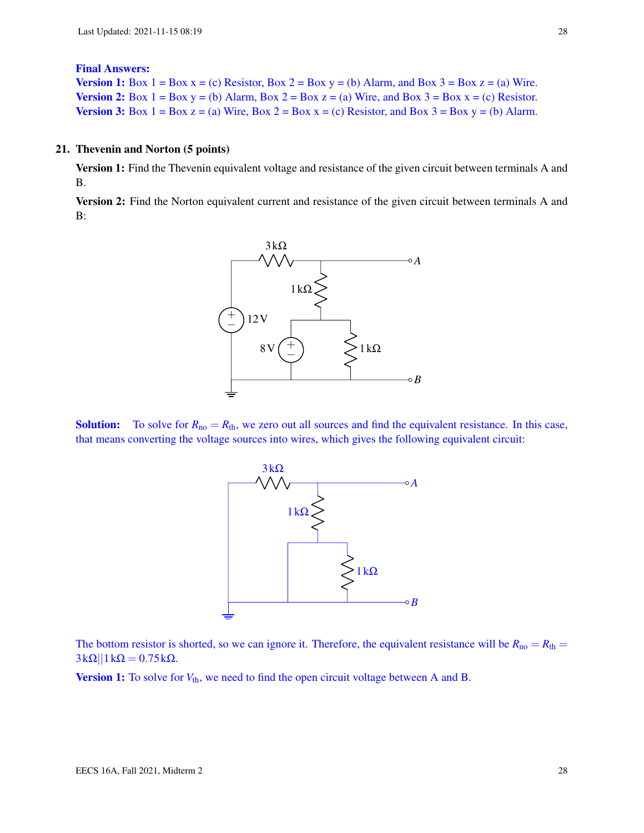#### Final Answers:

**Version 1:** Box  $1 = Box x = (c)$  Resistor, Box  $2 = Box y = (b)$  Alarm, and Box  $3 = Box z = (a)$  Wire. **Version 2:** Box  $1 = Box y = (b)$  Alarm, Box  $2 = Box z = (a)$  Wire, and Box  $3 = Box x = (c)$  Resistor. Version 3: Box  $1 = Box z = (a)$  Wire, Box  $2 = Box x = (c)$  Resistor, and Box  $3 = Box y = (b)$  Alarm.

#### 21. Thevenin and Norton (5 points)

Version 1: Find the Thevenin equivalent voltage and resistance of the given circuit between terminals A and B.

Version 2: Find the Norton equivalent current and resistance of the given circuit between terminals A and B:



**Solution:** To solve for  $R_{no} = R_{th}$ , we zero out all sources and find the equivalent resistance. In this case, that means converting the voltage sources into wires, which gives the following equivalent circuit:



The bottom resistor is shorted, so we can ignore it. Therefore, the equivalent resistance will be  $R_{no} = R_{th}$  $3k\Omega||1k\Omega = 0.75k\Omega$ .

Version 1: To solve for  $V_{th}$ , we need to find the open circuit voltage between A and B.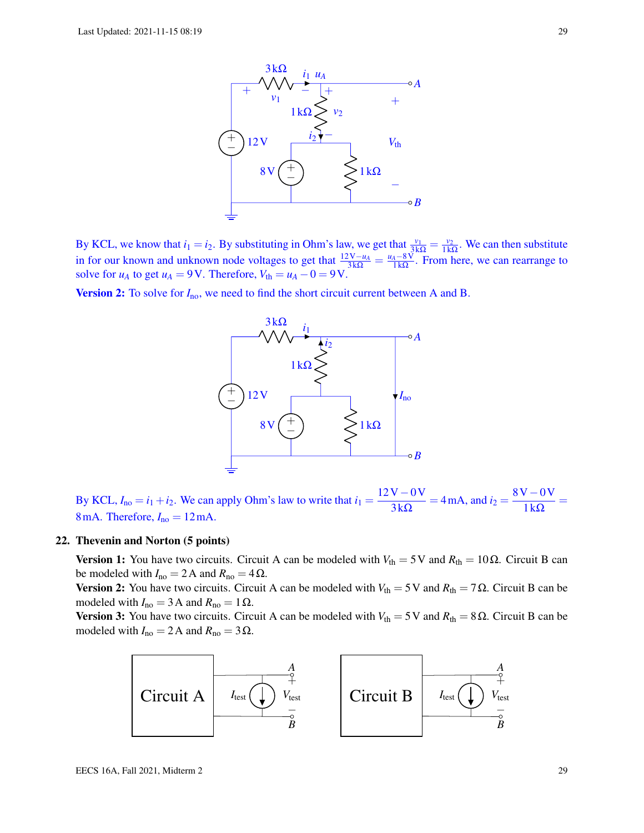

By KCL, we know that  $i_1 = i_2$ . By substituting in Ohm's law, we get that  $\frac{v_1}{3k\Omega} = \frac{v_2}{1k\Omega}$  $\frac{v_2}{1 \text{k}\Omega}$ . We can then substitute in for our known and unknown node voltages to get that  $\frac{12V - u_A}{3k\Omega} = \frac{u_A - 8V}{1k\Omega}$  $\frac{4-8V}{1k\Omega}$ . From here, we can rearrange to solve for  $u_A$  to get  $u_A = 9$ V. Therefore,  $V_{th} = u_A - 0 = 9$ V.

**Version 2:** To solve for  $I_{\text{no}}$ , we need to find the short circuit current between A and B.



By KCL,  $I_{\text{no}} = i_1 + i_2$ . We can apply Ohm's law to write that  $i_1 = \frac{12V - 0V}{210}$  $\frac{V - 0V}{3k\Omega}$  = 4 mA, and  $i_2 = \frac{8V - 0V}{1k\Omega}$  $\frac{1}{1}k\Omega$ 8 mA. Therefore,  $I_{no} = 12$  mA.

#### 22. Thevenin and Norton (5 points)

**Version 1:** You have two circuits. Circuit A can be modeled with  $V_{\text{th}} = 5$  V and  $R_{\text{th}} = 10\Omega$ . Circuit B can be modeled with  $I_{\text{no}} = 2 \text{ A}$  and  $R_{\text{no}} = 4 \Omega$ .

**Version 2:** You have two circuits. Circuit A can be modeled with  $V_{\text{th}} = 5$  V and  $R_{\text{th}} = 7 \Omega$ . Circuit B can be modeled with  $I_{\text{no}} = 3 \text{ A}$  and  $R_{\text{no}} = 1 \Omega$ .

**Version 3:** You have two circuits. Circuit A can be modeled with  $V_{th} = 5V$  and  $R_{th} = 8Ω$ . Circuit B can be modeled with  $I_{\text{no}} = 2 \text{ A}$  and  $R_{\text{no}} = 3 \Omega$ .

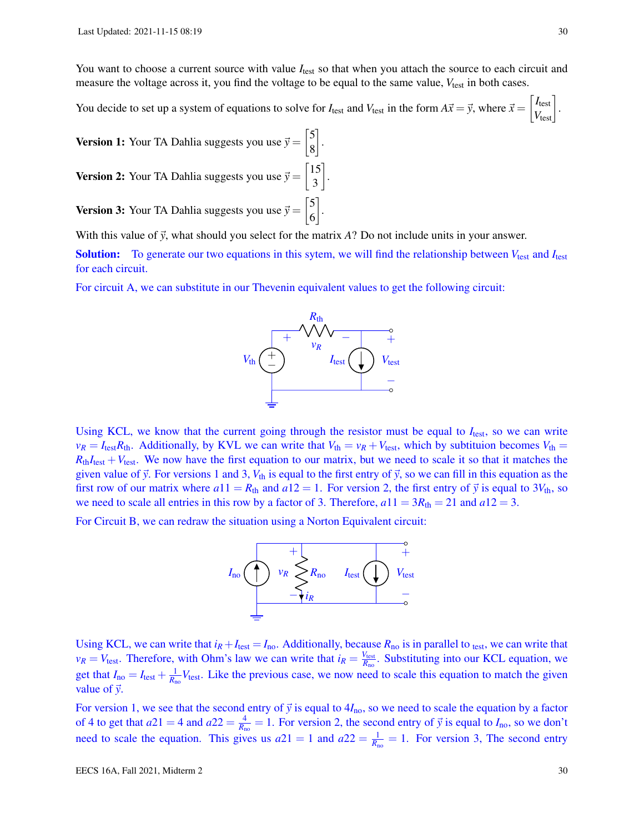You want to choose a current source with value  $I_{\text{test}}$  so that when you attach the source to each circuit and measure the voltage across it, you find the voltage to be equal to the same value,  $V_{\text{test}}$  in both cases.

You decide to set up a system of equations to solve for  $I_{\text{test}}$  and  $V_{\text{test}}$  in the form  $A\vec{x} = \vec{y}$ , where  $\vec{x} = \begin{bmatrix} I_{\text{test}} \\ V_{\text{test}} \end{bmatrix}$ .

3

**Version 1:** Your TA Dahlia suggests you use  $\vec{y} = \begin{bmatrix} 5 \\ 8 \end{bmatrix}$ 8 . **Version 2:** Your TA Dahlia suggests you use  $\vec{y} = \begin{bmatrix} 15 \\ 2 \end{bmatrix}$ .

**Version 3:** Your TA Dahlia suggests you use  $\vec{y} = \begin{bmatrix} 5 \\ 6 \end{bmatrix}$ 6 .

With this value of  $\vec{y}$ , what should you select for the matrix *A*? Do not include units in your answer.

Solution: To generate our two equations in this sytem, we will find the relationship between  $V_{\text{test}}$  and  $I_{\text{test}}$ for each circuit.

For circuit A, we can substitute in our Thevenin equivalent values to get the following circuit:



Using KCL, we know that the current going through the resistor must be equal to  $I_{test}$ , so we can write  $v_R = I_{\text{test}}R_{\text{th}}$ . Additionally, by KVL we can write that  $V_{\text{th}} = v_R + V_{\text{test}}$ , which by subtituion becomes  $V_{\text{th}} =$  $R_{th}I_{test} + V_{test}$ . We now have the first equation to our matrix, but we need to scale it so that it matches the given value of  $\vec{y}$ . For versions 1 and 3,  $V_{th}$  is equal to the first entry of  $\vec{y}$ , so we can fill in this equation as the first row of our matrix where  $a11 = R<sub>th</sub>$  and  $a12 = 1$ . For version 2, the first entry of  $\vec{y}$  is equal to  $3V<sub>th</sub>$ , so we need to scale all entries in this row by a factor of 3. Therefore,  $a11 = 3R_{th} = 21$  and  $a12 = 3$ .

For Circuit B, we can redraw the situation using a Norton Equivalent circuit:



Using KCL, we can write that  $i_R + I_{\text{test}} = I_{\text{no}}$ . Additionally, because  $R_{\text{no}}$  is in parallel to <sub>test</sub>, we can write that  $v_R = V_{\text{test}}$ . Therefore, with Ohm's law we can write that  $i_R = \frac{V_{\text{test}}}{R_{\text{max}}}$  $\frac{V_{\text{test}}}{R_{\text{no}}}$ . Substituting into our KCL equation, we get that  $I_{\text{no}} = I_{\text{test}} + \frac{1}{R_{\text{no}}} V_{\text{test}}$ . Like the previous case, we now need to scale this equation to match the given value of  $\vec{y}$ .

For version 1, we see that the second entry of  $\vec{y}$  is equal to  $4I_{\text{no}}$ , so we need to scale the equation by a factor of 4 to get that  $a21 = 4$  and  $a22 = \frac{4}{R_{\text{no}}} = 1$ . For version 2, the second entry of  $\vec{y}$  is equal to  $I_{\text{no}}$ , so we don't need to scale the equation. This gives us  $a21 = 1$  and  $a22 = \frac{1}{R_{\text{no}}} = 1$ . For version 3, The second entry